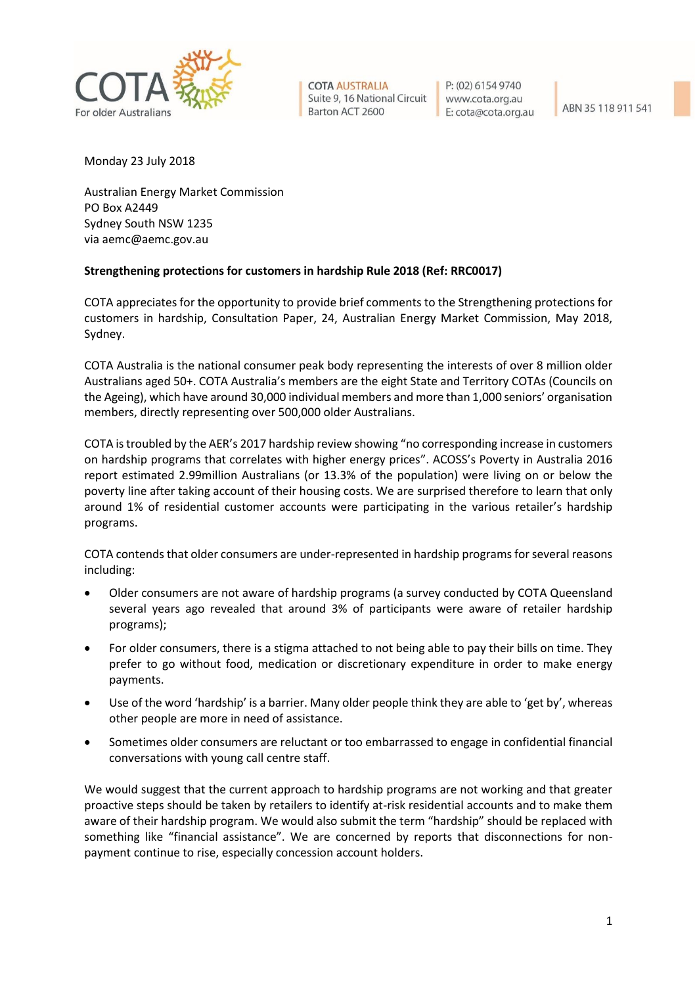

**COTA AUSTRALIA** Suite 9, 16 National Circuit Barton ACT 2600

P: (02) 6154 9740 www.cota.org.au E: cota@cota.org.au

ABN 35 118 911 541

Monday 23 July 2018

Australian Energy Market Commission PO Box A2449 Sydney South NSW 1235 via aemc@aemc.gov.au

## **Strengthening protections for customers in hardship Rule 2018 (Ref: RRC0017)**

COTA appreciates for the opportunity to provide brief comments to the Strengthening protections for customers in hardship, Consultation Paper, 24, Australian Energy Market Commission, May 2018, Sydney.

COTA Australia is the national consumer peak body representing the interests of over 8 million older Australians aged 50+. COTA Australia's members are the eight State and Territory COTAs (Councils on the Ageing), which have around 30,000 individual members and more than 1,000 seniors' organisation members, directly representing over 500,000 older Australians.

COTA is troubled by the AER's 2017 hardship review showing "no corresponding increase in customers on hardship programs that correlates with higher energy prices". ACOSS's Poverty in Australia 2016 report estimated 2.99million Australians (or 13.3% of the population) were living on or below the poverty line after taking account of their housing costs. We are surprised therefore to learn that only around 1% of residential customer accounts were participating in the various retailer's hardship programs.

COTA contends that older consumers are under-represented in hardship programs for several reasons including:

- Older consumers are not aware of hardship programs (a survey conducted by COTA Queensland several years ago revealed that around 3% of participants were aware of retailer hardship programs);
- For older consumers, there is a stigma attached to not being able to pay their bills on time. They prefer to go without food, medication or discretionary expenditure in order to make energy payments.
- Use of the word 'hardship' is a barrier. Many older people think they are able to 'get by', whereas other people are more in need of assistance.
- Sometimes older consumers are reluctant or too embarrassed to engage in confidential financial conversations with young call centre staff.

We would suggest that the current approach to hardship programs are not working and that greater proactive steps should be taken by retailers to identify at-risk residential accounts and to make them aware of their hardship program. We would also submit the term "hardship" should be replaced with something like "financial assistance". We are concerned by reports that disconnections for nonpayment continue to rise, especially concession account holders.